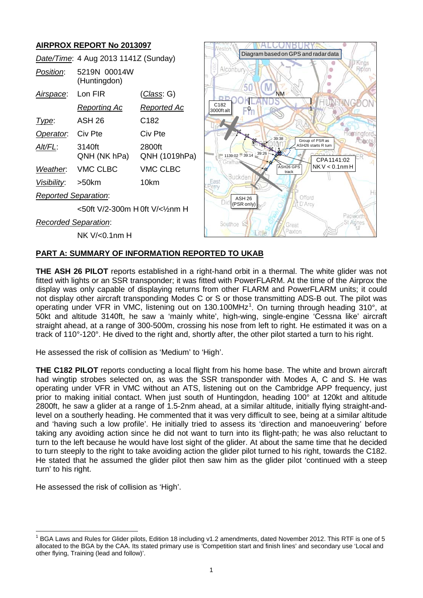## **AIRPROX REPORT No 2013097**

|                             | Date/Time: 4 Aug 2013 1141Z (Sunday) |                         |
|-----------------------------|--------------------------------------|-------------------------|
| <i>Position:</i>            | 5219N 00014W<br>(Huntingdon)         |                         |
| <u>Airspace:</u>            | Lon FIR                              | <u>(Class</u> : G)      |
|                             | <u>Reporting Ac</u>                  | <u>Reported Ac</u>      |
| Type:                       | ASH 26                               | C182                    |
| Operator. Civ Pte           |                                      | Civ Pte                 |
| Alt/FL:                     | 3140ft<br>QNH (NK hPa)               | 2800ft<br>QNH (1019hPa) |
| Weather.                    | VMC CLBC                             | <b>VMC CLBC</b>         |
| Visibility: >50km           |                                      | 10km                    |
| <b>Reported Separation:</b> |                                      |                         |
|                             | <50ft V/2-300m H 0ft V/<1⁄2mm H      |                         |
| <b>Recorded Separation:</b> |                                      |                         |

NK V/<0.1nm H



#### **PART A: SUMMARY OF INFORMATION REPORTED TO UKAB**

**THE ASH 26 PILOT** reports established in a right-hand orbit in a thermal. The white glider was not fitted with lights or an SSR transponder; it was fitted with PowerFLARM. At the time of the Airprox the display was only capable of displaying returns from other FLARM and PowerFLARM units; it could not display other aircraft transponding Modes C or S or those transmitting ADS-B out. The pilot was operating under VFR in VMC, listening out on [1](#page-0-0)30.100MHz<sup>1</sup>. On turning through heading 310°, at 50kt and altitude 3140ft, he saw a 'mainly white', high-wing, single-engine 'Cessna like' aircraft straight ahead, at a range of 300-500m, crossing his nose from left to right. He estimated it was on a track of 110°-120°. He dived to the right and, shortly after, the other pilot started a turn to his right.

He assessed the risk of collision as 'Medium' to 'High'.

**THE C182 PILOT** reports conducting a local flight from his home base. The white and brown aircraft had wingtip strobes selected on, as was the SSR transponder with Modes A, C and S. He was operating under VFR in VMC without an ATS, listening out on the Cambridge APP frequency, just prior to making initial contact. When just south of Huntingdon, heading 100° at 120kt and altitude 2800ft, he saw a glider at a range of 1.5-2nm ahead, at a similar altitude, initially flying straight-andlevel on a southerly heading. He commented that it was very difficult to see, being at a similar altitude and 'having such a low profile'. He initially tried to assess its 'direction and manoeuvering' before taking any avoiding action since he did not want to turn into its flight-path; he was also reluctant to turn to the left because he would have lost sight of the glider. At about the same time that he decided to turn steeply to the right to take avoiding action the glider pilot turned to his right, towards the C182. He stated that he assumed the glider pilot then saw him as the glider pilot 'continued with a steep turn' to his right.

He assessed the risk of collision as 'High'.

<span id="page-0-0"></span><sup>1</sup> BGA Laws and Rules for Glider pilots, Edition 18 including v1.2 amendments, dated November 2012. This RTF is one of 5 allocated to the BGA by the CAA. Its stated primary use is 'Competition start and finish lines' and secondary use 'Local and other flying, Training (lead and follow)'.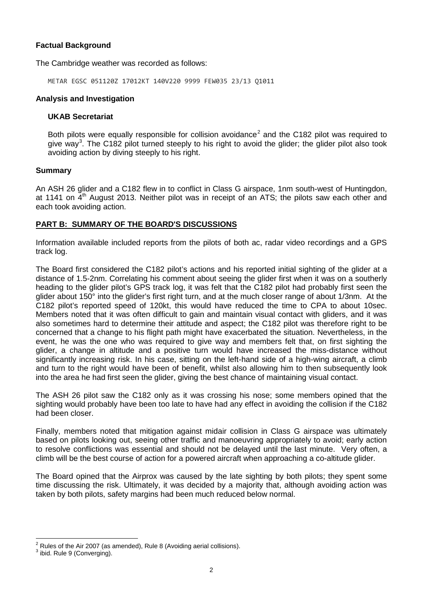### **Factual Background**

The Cambridge weather was recorded as follows:

METAR EGSC 051120Z 17012KT 140V220 9999 FEW035 23/13 Q1011

#### **Analysis and Investigation**

#### **UKAB Secretariat**

Both pilots were equally responsible for collision avoidance<sup>[2](#page-1-0)</sup> and the C182 pilot was required to give way<sup>[3](#page-1-1)</sup>. The C182 pilot turned steeply to his right to avoid the glider; the glider pilot also took avoiding action by diving steeply to his right.

#### **Summary**

An ASH 26 glider and a C182 flew in to conflict in Class G airspace, 1nm south-west of Huntingdon, at 1141 on  $4<sup>th</sup>$  August 2013. Neither pilot was in receipt of an ATS; the pilots saw each other and each took avoiding action.

#### **PART B: SUMMARY OF THE BOARD'S DISCUSSIONS**

Information available included reports from the pilots of both ac, radar video recordings and a GPS track log.

The Board first considered the C182 pilot's actions and his reported initial sighting of the glider at a distance of 1.5-2nm. Correlating his comment about seeing the glider first when it was on a southerly heading to the glider pilot's GPS track log, it was felt that the C182 pilot had probably first seen the glider about 150° into the glider's first right turn, and at the much closer range of about 1/3nm. At the C182 pilot's reported speed of 120kt, this would have reduced the time to CPA to about 10sec. Members noted that it was often difficult to gain and maintain visual contact with gliders, and it was also sometimes hard to determine their attitude and aspect; the C182 pilot was therefore right to be concerned that a change to his flight path might have exacerbated the situation. Nevertheless, in the event, he was the one who was required to give way and members felt that, on first sighting the glider, a change in altitude and a positive turn would have increased the miss-distance without significantly increasing risk. In his case, sitting on the left-hand side of a high-wing aircraft, a climb and turn to the right would have been of benefit, whilst also allowing him to then subsequently look into the area he had first seen the glider, giving the best chance of maintaining visual contact.

The ASH 26 pilot saw the C182 only as it was crossing his nose; some members opined that the sighting would probably have been too late to have had any effect in avoiding the collision if the C182 had been closer.

Finally, members noted that mitigation against midair collision in Class G airspace was ultimately based on pilots looking out, seeing other traffic and manoeuvring appropriately to avoid; early action to resolve conflictions was essential and should not be delayed until the last minute. Very often, a climb will be the best course of action for a powered aircraft when approaching a co-altitude glider.

The Board opined that the Airprox was caused by the late sighting by both pilots; they spent some time discussing the risk. Ultimately, it was decided by a majority that, although avoiding action was taken by both pilots, safety margins had been much reduced below normal.

<span id="page-1-0"></span><sup>&</sup>lt;sup>2</sup> Rules of the Air 2007 (as amended), Rule 8 (Avoiding aerial collisions).<br> $3$  ibid. Rule 9 (Converging).

<span id="page-1-1"></span>